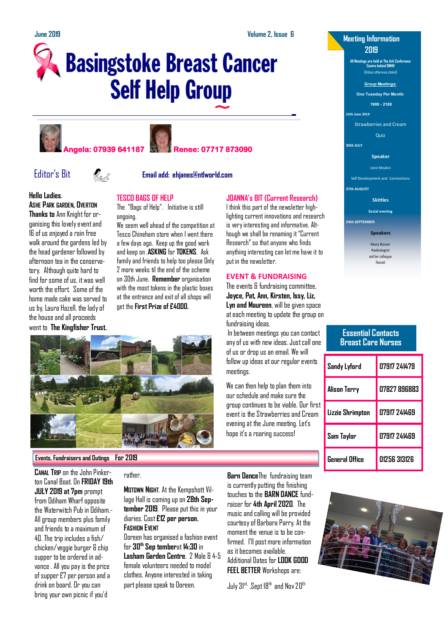**JOANNA's BIT (Current Research)** I think this part of the newsletter highlighting current innovations and research is very interesting and informative. Although we shall be renaming it "Current Research" so that anyone who finds anything interesting can let me have it to

put in the newsletter.

fundraising ideas.

meetings.

**EVENT & FUNDRAISING** The events & fundraising committee, **Joyce, Pat, Ann, Kirsten, Issy, Liz, Lyn and Maureen**, will be given space at each meeting to update the group on

In between meetings you can contact any of us with new ideas. Just call one of us or drop us an email. We will follow up ideas at our regular events

We can then help to plan them into our schedule and make sure the group continues to be viable. Our first event is the Strawberries and Cream evening at the June meeting. Let's hope it's a roaring success!

# **Basingstoke Breast Cancer Self Help Group**









Editor's Bit **Email add: ehjanes@ntlworld.com**

#### **Hello Ladies**. **ASHE PARK GARDEN, OVERTON**

**Thanks to** Ann Knight for organising this lovely event and 16 of us enjoyed a rain free walk around the gardens led by the head gardener followed by afternoon tea in the conservatory. Although quite hard to find for some of us, it was well worth the effort. Some of the home made cake was served to us by, Laura Hazell, the lady of the house and all proceeds went to **The Kingfisher Trust.**

#### **TESCO BAGS OF HELP**

The "Bags of Help". Initiative is still ongoing.

We seem well ahead of the competition at Tesco Chineham store when I went there a few days ago. Keep up the good work and keep on .**ASKING** for **TOKENS**. Ask family and friends to help too please Only 2 more weeks til the end of the scheme on 30th June. **Remember** organisation with the most tokens in the plastic boxes at the entrance and exit of all shops will get the **First Prize of £4000.**



**Events, Fundraisers and Outings For 2019**

**CANAL TRIP** on the John Pinkerton Canal Boat. On **FRIDAY 19th JULY 2019 at 7pm** prompt from Odiham Wharf opposite the Waterwitch Pub in Odiham.- All group members plus family and friends to a maximum of 40. The trip includes a fish/ chicken/veggie burger & chip supper to be ordered in advance . All you pay is the price of supper £7 per person and a drink on board. Or you can bring your own picnic if you'd

#### rather.

**MOTOWN NIGHT**. At the Kempshott Village Hall is coming up on **28th September 2019**. Please put this in your diaries. Cost **£12 per person. FASHION EVENT**

#### Doreen has organised a fashion event for **30th Sep tember**at **14:30** in **Lasham Garden Centre**. 2 Male & 4-5 female volunteers needed to model clothes. Anyone interested in taking part please speak to Doreen.

**Barn Dance**The fundraising team is currently putting the finishing touches to the **BARN DANCE** fundraiser for **4th April 2020**. The music and calling will be provided courtesy of Barbara Parry. At the moment the venue is to be confirmed. I'll post more information as it becomes available. Additional Dates for **LOOK GOOD FEEL BETTER** Workshops are:

July 31st, , Sept 18th and Nov 20th

#### **Meeting Information 2019**

**All Meetings are held at The Ark Conference Centre behind BNHH** (Unless otherwise stated)

#### **Group Meetings:**

**One Tuesday Per Month:**

**1900 - 2100** 

**25th June 2019**

**30th JULY**

Strawberries and Cream Quiz

**Speaker**

#### Jane Meakin

Self Development and Connections

**27th AUGUST**

#### **Skittles**

**Social evening**

**24th SEPTEMBER**

**Speakers** Mary Bosier Radiologist and her colleague

Hannah

#### **Essential Contacts Breast Care Nurses**

| Sandy Lyford     | 07917 241479 |
|------------------|--------------|
| Alison Terry     | 07827 896883 |
| Lizzie Shrimpton | 07917 241469 |
| Sam Taylor       | 07917 241469 |
| General Office   | N1256 313126 |